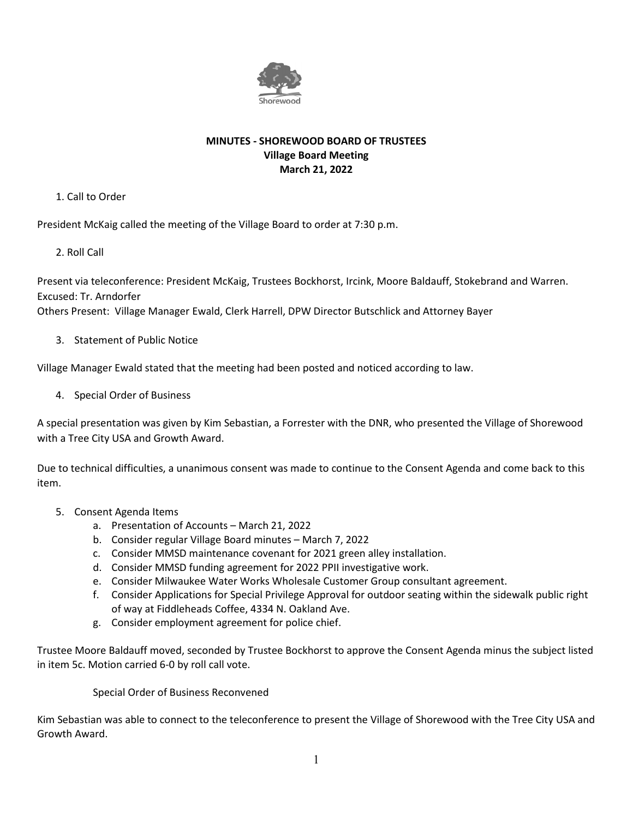

#### **MINUTES - SHOREWOOD BOARD OF TRUSTEES Village Board Meeting March 21, 2022**

1. Call to Order

President McKaig called the meeting of the Village Board to order at 7:30 p.m.

2. Roll Call

Present via teleconference: President McKaig, Trustees Bockhorst, Ircink, Moore Baldauff, Stokebrand and Warren. Excused: Tr. Arndorfer

Others Present: Village Manager Ewald, Clerk Harrell, DPW Director Butschlick and Attorney Bayer

3. Statement of Public Notice

Village Manager Ewald stated that the meeting had been posted and noticed according to law.

4. Special Order of Business

A special presentation was given by Kim Sebastian, a Forrester with the DNR, who presented the Village of Shorewood with a Tree City USA and Growth Award.

Due to technical difficulties, a unanimous consent was made to continue to the Consent Agenda and come back to this item.

- 5. Consent Agenda Items
	- a. Presentation of Accounts March 21, 2022
	- b. Consider regular Village Board minutes March 7, 2022
	- c. Consider MMSD maintenance covenant for 2021 green alley installation.
	- d. Consider MMSD funding agreement for 2022 PPII investigative work.
	- e. Consider Milwaukee Water Works Wholesale Customer Group consultant agreement.
	- f. Consider Applications for Special Privilege Approval for outdoor seating within the sidewalk public right of way at Fiddleheads Coffee, 4334 N. Oakland Ave.
	- g. Consider employment agreement for police chief.

Trustee Moore Baldauff moved, seconded by Trustee Bockhorst to approve the Consent Agenda minus the subject listed in item 5c. Motion carried 6-0 by roll call vote.

Special Order of Business Reconvened

Kim Sebastian was able to connect to the teleconference to present the Village of Shorewood with the Tree City USA and Growth Award.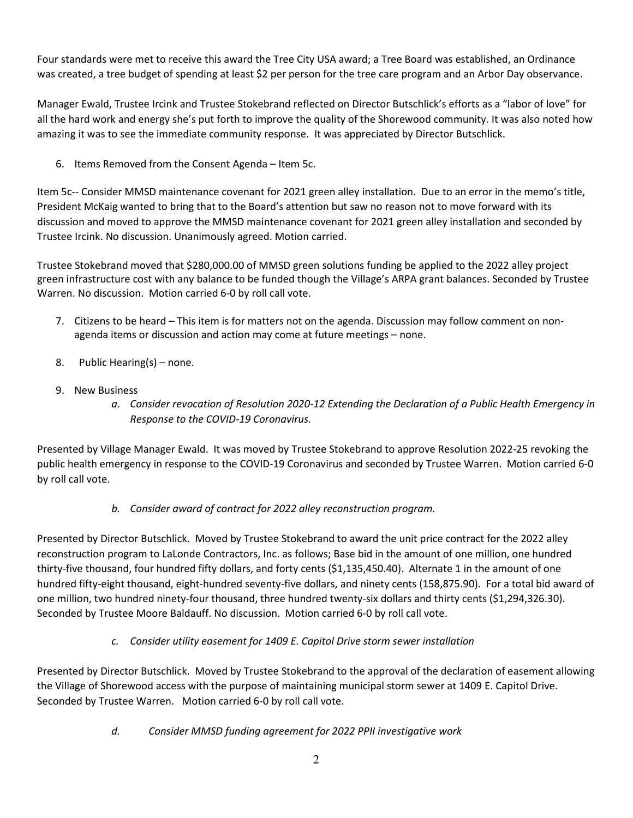Four standards were met to receive this award the Tree City USA award; a Tree Board was established, an Ordinance was created, a tree budget of spending at least \$2 per person for the tree care program and an Arbor Day observance.

Manager Ewald, Trustee Ircink and Trustee Stokebrand reflected on Director Butschlick's efforts as a "labor of love" for all the hard work and energy she's put forth to improve the quality of the Shorewood community. It was also noted how amazing it was to see the immediate community response. It was appreciated by Director Butschlick.

6. Items Removed from the Consent Agenda – Item 5c.

Item 5c-- Consider MMSD maintenance covenant for 2021 green alley installation. Due to an error in the memo's title, President McKaig wanted to bring that to the Board's attention but saw no reason not to move forward with its discussion and moved to approve the MMSD maintenance covenant for 2021 green alley installation and seconded by Trustee Ircink. No discussion. Unanimously agreed. Motion carried.

Trustee Stokebrand moved that \$280,000.00 of MMSD green solutions funding be applied to the 2022 alley project green infrastructure cost with any balance to be funded though the Village's ARPA grant balances. Seconded by Trustee Warren. No discussion. Motion carried 6-0 by roll call vote.

- 7. Citizens to be heard This item is for matters not on the agenda. Discussion may follow comment on nonagenda items or discussion and action may come at future meetings – none.
- 8. Public Hearing(s) none.
- 9. New Business
	- *a. Consider revocation of Resolution 2020-12 Extending the Declaration of a Public Health Emergency in Response to the COVID-19 Coronavirus.*

Presented by Village Manager Ewald. It was moved by Trustee Stokebrand to approve Resolution 2022-25 revoking the public health emergency in response to the COVID-19 Coronavirus and seconded by Trustee Warren. Motion carried 6-0 by roll call vote.

# *b. Consider award of contract for 2022 alley reconstruction program.*

Presented by Director Butschlick. Moved by Trustee Stokebrand to award the unit price contract for the 2022 alley reconstruction program to LaLonde Contractors, Inc. as follows; Base bid in the amount of one million, one hundred thirty-five thousand, four hundred fifty dollars, and forty cents (\$1,135,450.40). Alternate 1 in the amount of one hundred fifty-eight thousand, eight-hundred seventy-five dollars, and ninety cents (158,875.90). For a total bid award of one million, two hundred ninety-four thousand, three hundred twenty-six dollars and thirty cents (\$1,294,326.30). Seconded by Trustee Moore Baldauff. No discussion. Motion carried 6-0 by roll call vote.

### *c. Consider utility easement for 1409 E. Capitol Drive storm sewer installation*

Presented by Director Butschlick. Moved by Trustee Stokebrand to the approval of the declaration of easement allowing the Village of Shorewood access with the purpose of maintaining municipal storm sewer at 1409 E. Capitol Drive. Seconded by Trustee Warren. Motion carried 6-0 by roll call vote.

*d. Consider MMSD funding agreement for 2022 PPII investigative work*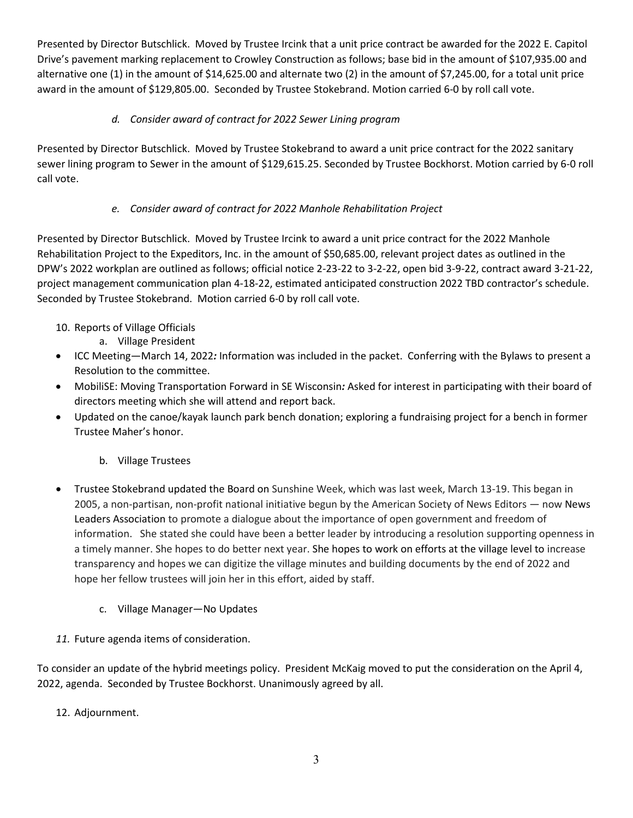Presented by Director Butschlick. Moved by Trustee Ircink that a unit price contract be awarded for the 2022 E. Capitol Drive's pavement marking replacement to Crowley Construction as follows; base bid in the amount of \$107,935.00 and alternative one (1) in the amount of \$14,625.00 and alternate two (2) in the amount of \$7,245.00, for a total unit price award in the amount of \$129,805.00. Seconded by Trustee Stokebrand. Motion carried 6-0 by roll call vote.

# *d. Consider award of contract for 2022 Sewer Lining program*

Presented by Director Butschlick. Moved by Trustee Stokebrand to award a unit price contract for the 2022 sanitary sewer lining program to Sewer in the amount of \$129,615.25. Seconded by Trustee Bockhorst. Motion carried by 6-0 roll call vote.

### *e. Consider award of contract for 2022 Manhole Rehabilitation Project*

Presented by Director Butschlick. Moved by Trustee Ircink to award a unit price contract for the 2022 Manhole Rehabilitation Project to the Expeditors, Inc. in the amount of \$50,685.00, relevant project dates as outlined in the DPW's 2022 workplan are outlined as follows; official notice 2-23-22 to 3-2-22, open bid 3-9-22, contract award 3-21-22, project management communication plan 4-18-22, estimated anticipated construction 2022 TBD contractor's schedule. Seconded by Trustee Stokebrand. Motion carried 6-0 by roll call vote.

- 10. Reports of Village Officials
	- a. Village President
- ICC Meeting—March 14, 2022*:* Information was included in the packet. Conferring with the Bylaws to present a Resolution to the committee.
- MobiliSE: Moving Transportation Forward in SE Wisconsin*:* Asked for interest in participating with their board of directors meeting which she will attend and report back.
- Updated on the canoe/kayak launch park bench donation; exploring a fundraising project for a bench in former Trustee Maher's honor.
	- b. Village Trustees
- Trustee Stokebrand updated the Board on Sunshine Week, which was last week, March 13-19. This began in 2005, a non-partisan, non-profit national initiative begun by the American Society of News Editors — now News Leaders Association to promote a dialogue about the importance of open government and freedom of information. She stated she could have been a better leader by introducing a resolution supporting openness in a timely manner. She hopes to do better next year. She hopes to work on efforts at the village level to increase transparency and hopes we can digitize the village minutes and building documents by the end of 2022 and hope her fellow trustees will join her in this effort, aided by staff.
	- c. Village Manager—No Updates
- *11.* Future agenda items of consideration.

To consider an update of the hybrid meetings policy. President McKaig moved to put the consideration on the April 4, 2022, agenda. Seconded by Trustee Bockhorst. Unanimously agreed by all.

12. Adjournment.